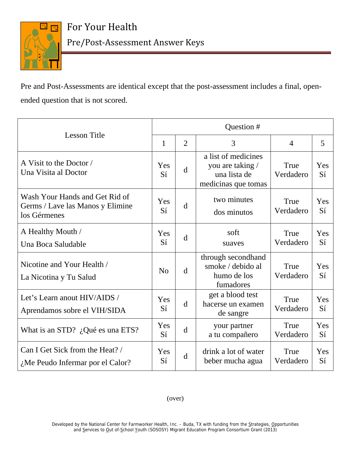

Pre and Post-Assessments are identical except that the post-assessment includes a final, openended question that is not scored.

| <b>Lesson Title</b>                                                                | Question #   |                |                                                                                |                   |           |  |
|------------------------------------------------------------------------------------|--------------|----------------|--------------------------------------------------------------------------------|-------------------|-----------|--|
|                                                                                    | $\mathbf{1}$ | $\overline{2}$ | 3                                                                              | $\overline{4}$    | 5         |  |
| A Visit to the Doctor /<br>Una Visita al Doctor                                    | Yes<br>Sí    | d              | a list of medicines<br>you are taking /<br>una lista de<br>medicinas que tomas | True<br>Verdadero | Yes<br>Sí |  |
| Wash Your Hands and Get Rid of<br>Germs / Lave las Manos y Elimine<br>los Gérmenes | Yes<br>Sí    | d              | two minutes<br>dos minutos                                                     | True<br>Verdadero | Yes<br>Sí |  |
| A Healthy Mouth /<br>Una Boca Saludable                                            | Yes<br>Sí    | d              | soft<br>suaves                                                                 | True<br>Verdadero | Yes<br>Sí |  |
| Nicotine and Your Health /<br>La Nicotina y Tu Salud                               | No           | d              | through secondhand<br>smoke / debido al<br>humo de los<br>fumadores            | True<br>Verdadero | Yes<br>Sí |  |
| Let's Learn anout HIV/AIDS /<br>Aprendamos sobre el VIH/SIDA                       | Yes<br>Sí    | d              | get a blood test<br>hacerse un examen<br>de sangre                             | True<br>Verdadero | Yes<br>Sí |  |
| What is an STD? $\partial_{\alpha}$ Qué es una ETS?                                | Yes<br>Sí    | d              | your partner<br>a tu compañero                                                 | True<br>Verdadero | Yes<br>Sí |  |
| Can I Get Sick from the Heat? /<br>$\lambda$ Me Peudo Infermar por el Calor?       | Yes<br>Sí    | d              | drink a lot of water<br>beber mucha agua                                       | True<br>Verdadero | Yes<br>Sí |  |

## (over)